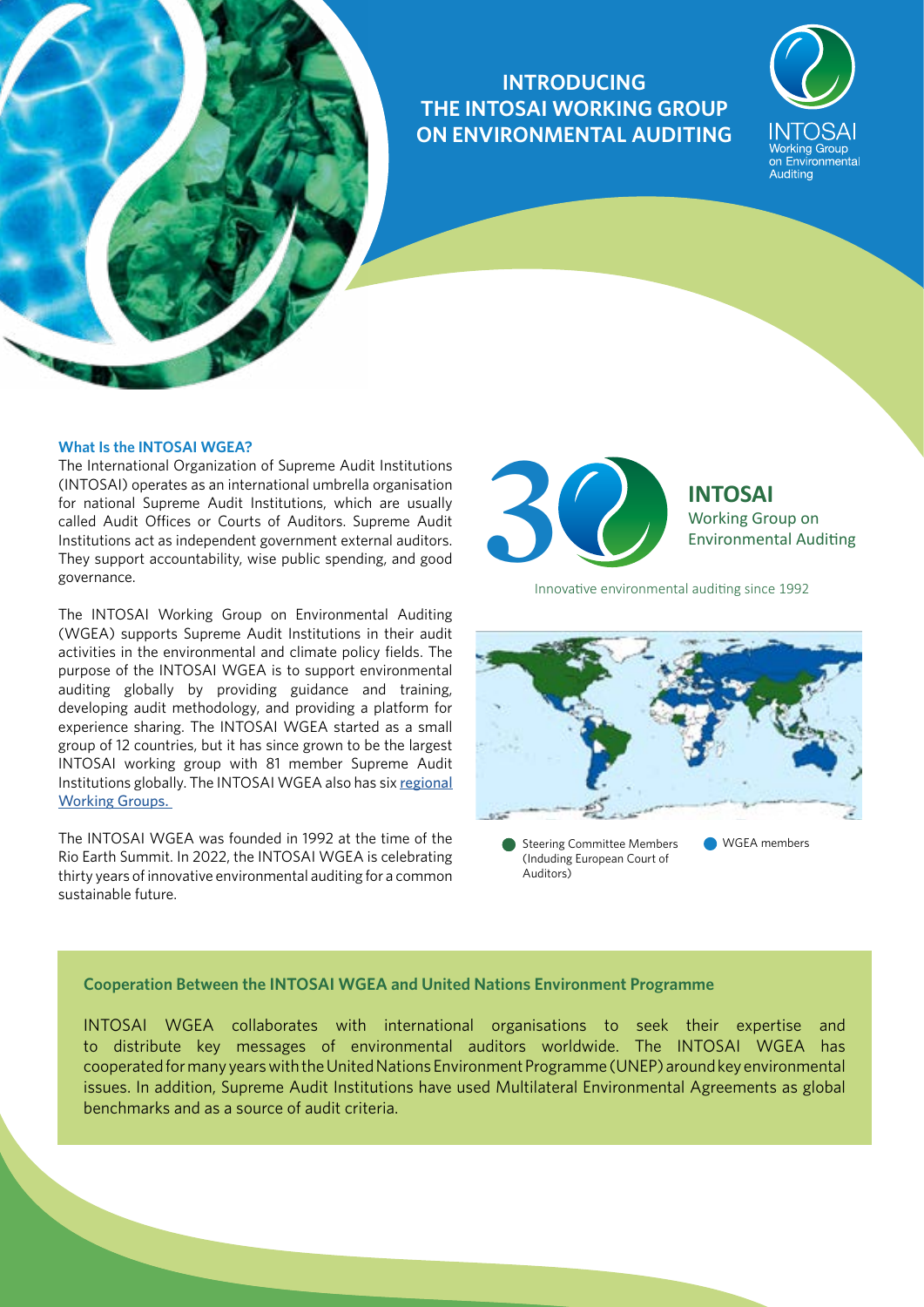

# **INTRODUCING THE INTOSAI WORKING GROUP ON ENVIRONMENTAL AUDITING**



#### **What Is the INTOSAI WGEA?**

The International Organization of Supreme Audit Institutions (INTOSAI) operates as an international umbrella organisation for national Supreme Audit Institutions, which are usually called Audit Offices or Courts of Auditors. Supreme Audit Institutions act as independent government external auditors. They support accountability, wise public spending, and good governance.

The INTOSAI Working Group on Environmental Auditing (WGEA) supports Supreme Audit Institutions in their audit activities in the environmental and climate policy fields. The purpose of the INTOSAI WGEA is to support environmental auditing globally by providing guidance and training, developing audit methodology, and providing a platform for experience sharing. The INTOSAI WGEA started as a small group of 12 countries, but it has since grown to be the largest INTOSAI working group with 81 member Supreme Audit Institutions globally. The INTOSAI WGEA also has six [regional](https://www.environmental-auditing.org/regional/)  [Working Groups.](https://www.environmental-auditing.org/regional/) 

The INTOSAI WGEA was founded in 1992 at the time of the Rio Earth Summit. In 2022, the INTOSAI WGEA is celebrating thirty years of innovative environmental auditing for a common sustainable future.



Innovative environmental auditing since 1992



# **Cooperation Between the INTOSAI WGEA and United Nations Environment Programme**

INTOSAI WGEA collaborates with international organisations to seek their expertise and to distribute key messages of environmental auditors worldwide. The INTOSAI WGEA has cooperated for many years with the United Nations Environment Programme (UNEP) around key environmental issues. In addition, Supreme Audit Institutions have used Multilateral Environmental Agreements as global benchmarks and as a source of audit criteria.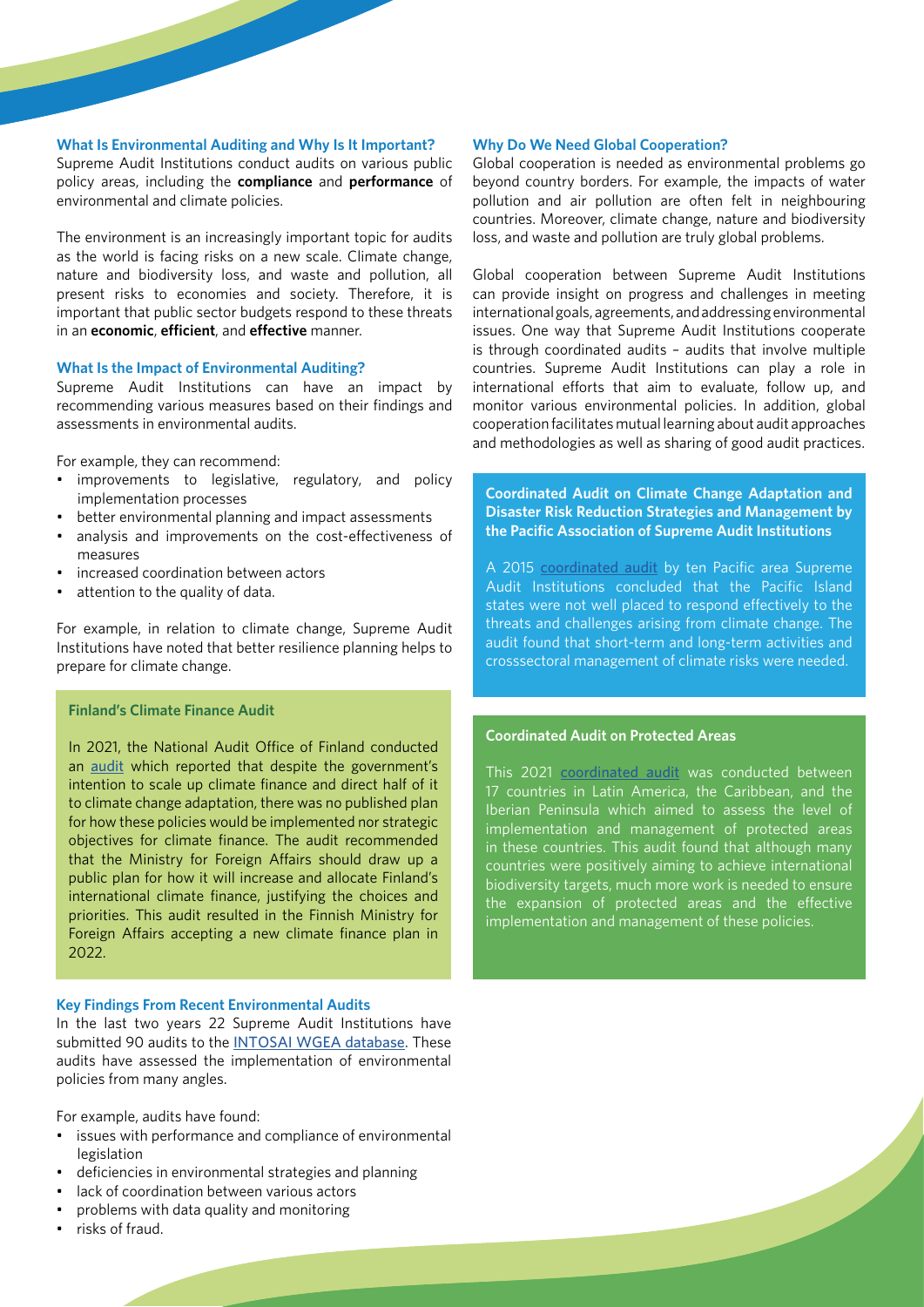#### **What Is Environmental Auditing and Why Is It Important?**

Supreme Audit Institutions conduct audits on various public policy areas, including the **compliance** and **performance** of environmental and climate policies.

The environment is an increasingly important topic for audits as the world is facing risks on a new scale. Climate change, nature and biodiversity loss, and waste and pollution, all present risks to economies and society. Therefore, it is important that public sector budgets respond to these threats in an **economic**, **efficient**, and **effective** manner.

#### **What Is the Impact of Environmental Auditing?**

Supreme Audit Institutions can have an impact by recommending various measures based on their findings and assessments in environmental audits.

For example, they can recommend:

- improvements to legislative, regulatory, and policy implementation processes
- better environmental planning and impact assessments
- analysis and improvements on the cost-effectiveness of measures
- increased coordination between actors
- attention to the quality of data.

For example, in relation to climate change, Supreme Audit Institutions have noted that better resilience planning helps to prepare for climate change.

## **Finland's Climate Finance Audit**

In 2021, the National Audit Office of Finland conducted an [audit](https://www.vtv.fi/app/uploads/2021/09/NAOF-Audit-6-2021-Finlands-international-climate-finance.pdf) which reported that despite the government's intention to scale up climate finance and direct half of it to climate change adaptation, there was no published plan for how these policies would be implemented nor strategic objectives for climate finance. The audit recommended that the Ministry for Foreign Affairs should draw up a public plan for how it will increase and allocate Finland's international climate finance, justifying the choices and priorities. This audit resulted in the Finnish Ministry for Foreign Affairs accepting a new climate finance plan in 2022.

#### **Key Findings From Recent Environmental Audits**

In the last two years 22 Supreme Audit Institutions have submitted 90 audits to the [INTOSAI WGEA database.](https://www.environmental-auditing.org/audit-database/) These audits have assessed the implementation of environmental policies from many angles.

For example, audits have found:

- issues with performance and compliance of environmental legislation
- deficiencies in environmental strategies and planning
- lack of coordination between various actors
- problems with data quality and monitoring
- risks of fraud.

#### **Why Do We Need Global Cooperation?**

Global cooperation is needed as environmental problems go beyond country borders. For example, the impacts of water pollution and air pollution are often felt in neighbouring countries. Moreover, climate change, nature and biodiversity loss, and waste and pollution are truly global problems.

Global cooperation between Supreme Audit Institutions can provide insight on progress and challenges in meeting international goals, agreements, and addressing environmental issues. One way that Supreme Audit Institutions cooperate is through coordinated audits – audits that involve multiple countries. Supreme Audit Institutions can play a role in international efforts that aim to evaluate, follow up, and monitor various environmental policies. In addition, global cooperation facilitates mutual learning about audit approaches and methodologies as well as sharing of good audit practices.

**Coordinated Audit on Climate Change Adaptation and Disaster Risk Reduction Strategies and Management by the Pacific Association of Supreme Audit Institutions**

A 2015 [coordinated audit](https://static1.squarespace.com/static/57019a6db6aa607cbb909ab2/t/578858ef197aea9fd0ba0e5a/1468553463159/Climate+Change+Coop+Audit_FINAL%281%29.pdf) by ten Pacific area Supreme Audit Institutions concluded that the Pacific Island states were not well placed to respond effectively to the threats and challenges arising from climate change. The audit found that short-term and long-term activities and crosssectoral management of climate risks were needed.

### **Coordinated Audit on Protected Areas**

This 2021 [coordinated audit](https://www.google.com/url?sa=t&rct=j&q=&esrc=s&source=web&cd=&cad=rja&uact=8&ved=2ahUKEwj00t6qlNz3AhWOr4sKHRCtDfoQFnoECAUQAQ&url=https%3A%2F%2Fportal.tcu.gov.br%2Flumis%2Fportal%2Ffile%2FfileDownload.jsp%3FfileId%3D8A81881F79E7AFBA017A68648B421C01&usg=AOvVaw2pBo_rGZkuXg_cxabNtTF5) was conducted between 17 countries in Latin America, the Caribbean, and the Iberian Peninsula which aimed to assess the level of implementation and management of protected areas in these countries. This audit found that although many countries were positively aiming to achieve international biodiversity targets, much more work is needed to ensure the expansion of protected areas and the effective implementation and management of these policies.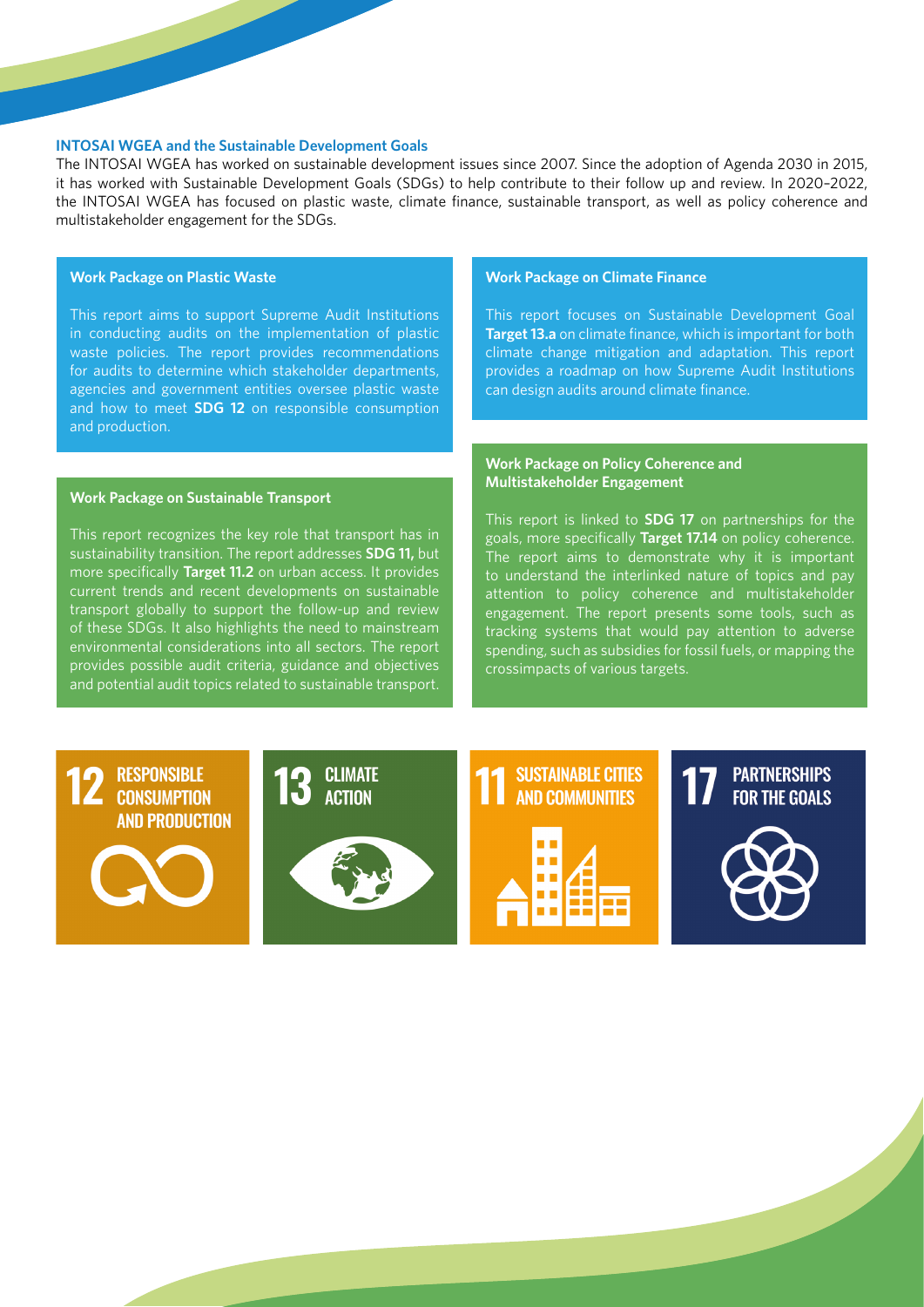#### **INTOSAI WGEA and the Sustainable Development Goals**

The INTOSAI WGEA has worked on sustainable development issues since 2007. Since the adoption of Agenda 2030 in 2015, it has worked with Sustainable Development Goals (SDGs) to help contribute to their follow up and review. In 2020–2022, the INTOSAI WGEA has focused on plastic waste, climate finance, sustainable transport, as well as policy coherence and multistakeholder engagement for the SDGs.

#### **Work Package on Plastic Waste**

This report aims to support Supreme Audit Institutions in conducting audits on the implementation of plastic waste policies. The report provides recommendations for audits to determine which stakeholder departments, agencies and government entities oversee plastic waste and how to meet **SDG 12** on responsible consumption and production.

#### **Work Package on Sustainable Transport**

This report recognizes the key role that transport has in sustainability transition. The report addresses **SDG 11,** but more specifically **Target 11.2** on urban access. It provides current trends and recent developments on sustainable transport globally to support the follow-up and review of these SDGs. It also highlights the need to mainstream environmental considerations into all sectors. The report provides possible audit criteria, guidance and objectives and potential audit topics related to sustainable transport.

#### **Work Package on Climate Finance**

This report focuses on Sustainable Development Goal **Target 13.a** on climate finance, which is important for both climate change mitigation and adaptation. This report provides a roadmap on how Supreme Audit Institutions can design audits around climate finance.

#### **Work Package on Policy Coherence and Multistakeholder Engagement**

This report is linked to **SDG 17** on partnerships for the goals, more specifically **Target 17.14** on policy coherence. The report aims to demonstrate why it is important to understand the interlinked nature of topics and pay attention to policy coherence and multistakeholder engagement. The report presents some tools, such as tracking systems that would pay attention to adverse spending, such as subsidies for fossil fuels, or mapping the crossimpacts of various targets.

**RESPONSIBLE CONSUMPTION AND PRODUCTION** 





# **SUSTAINABLE CITIES AND COMMUNITIES**



# **PARTNERSHIPS FOR THE GOALS**